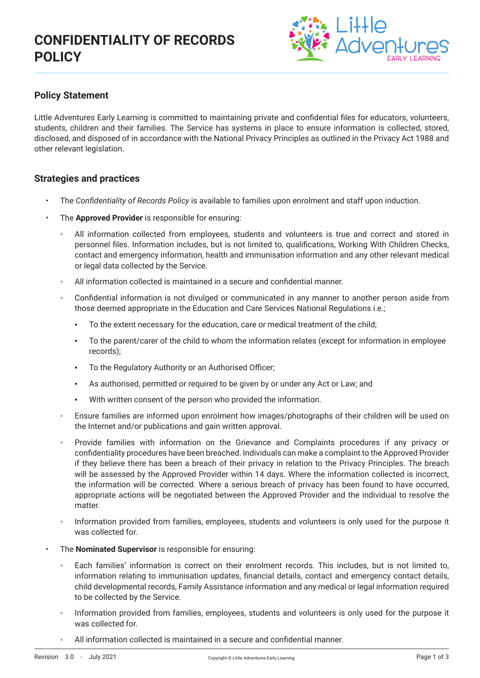

## **Policy Statement**

Little Adventures Early Learning is committed to maintaining private and confidential files for educators, volunteers, students, children and their families. The Service has systems in place to ensure information is collected, stored, disclosed, and disposed of in accordance with the National Privacy Principles as outlined in the Privacy Act 1988 and other relevant legislation.

## **Strategies and practices**

- The *Confidentiality of Records Policy* is available to families upon enrolment and staff upon induction.
- The **Approved Provider** is responsible for ensuring:
	- All information collected from employees, students and volunteers is true and correct and stored in personnel files. Information includes, but is not limited to, qualifications, Working With Children Checks, contact and emergency information, health and immunisation information and any other relevant medical or legal data collected by the Service.
	- All information collected is maintained in a secure and confidential manner.
	- Confidential information is not divulged or communicated in any manner to another person aside from those deemed appropriate in the Education and Care Services National Regulations i.e.;
		- To the extent necessary for the education, care or medical treatment of the child;
		- To the parent/carer of the child to whom the information relates (except for information in employee records);
		- To the Regulatory Authority or an Authorised Officer;
		- As authorised, permitted or required to be given by or under any Act or Law; and
		- With written consent of the person who provided the information.
	- Ensure families are informed upon enrolment how images/photographs of their children will be used on the Internet and/or publications and gain written approval.
	- Provide families with information on the Grievance and Complaints procedures if any privacy or confidentiality procedures have been breached. Individuals can make a complaint to the Approved Provider if they believe there has been a breach of their privacy in relation to the Privacy Principles. The breach will be assessed by the Approved Provider within 14 days. Where the information collected is incorrect, the information will be corrected. Where a serious breach of privacy has been found to have occurred, appropriate actions will be negotiated between the Approved Provider and the individual to resolve the matter.
	- Information provided from families, employees, students and volunteers is only used for the purpose it was collected for.
- The **Nominated Supervisor** is responsible for ensuring:
	- Each families' information is correct on their enrolment records. This includes, but is not limited to, information relating to immunisation updates, financial details, contact and emergency contact details, child developmental records, Family Assistance information and any medical or legal information required to be collected by the Service.
	- Information provided from families, employees, students and volunteers is only used for the purpose it was collected for.
	- All information collected is maintained in a secure and confidential manner.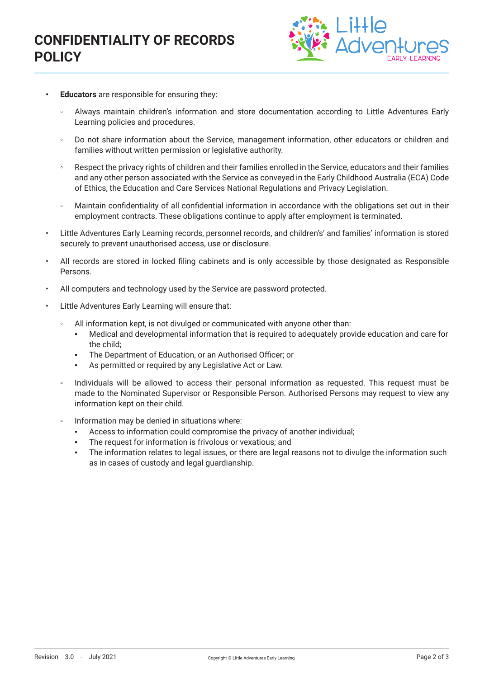

- **• Educators** are responsible for ensuring they:
	- Always maintain children's information and store documentation according to Little Adventures Early Learning policies and procedures.
	- Do not share information about the Service, management information, other educators or children and families without written permission or legislative authority.
	- Respect the privacy rights of children and their families enrolled in the Service, educators and their families and any other person associated with the Service as conveyed in the Early Childhood Australia (ECA) Code of Ethics, the Education and Care Services National Regulations and Privacy Legislation.
	- Maintain confidentiality of all confidential information in accordance with the obligations set out in their employment contracts. These obligations continue to apply after employment is terminated.
- Little Adventures Early Learning records, personnel records, and children's' and families' information is stored securely to prevent unauthorised access, use or disclosure.
- All records are stored in locked filing cabinets and is only accessible by those designated as Responsible Persons.
- All computers and technology used by the Service are password protected.
- Little Adventures Early Learning will ensure that:
	- All information kept, is not divulged or communicated with anyone other than:
		- Medical and developmental information that is required to adequately provide education and care for the child;
		- The Department of Education, or an Authorised Officer; or
		- As permitted or required by any Legislative Act or Law.
	- Individuals will be allowed to access their personal information as requested. This request must be made to the Nominated Supervisor or Responsible Person. Authorised Persons may request to view any information kept on their child.
	- Information may be denied in situations where:
		- Access to information could compromise the privacy of another individual:
		- The request for information is frivolous or vexatious; and
		- The information relates to legal issues, or there are legal reasons not to divulge the information such as in cases of custody and legal guardianship.